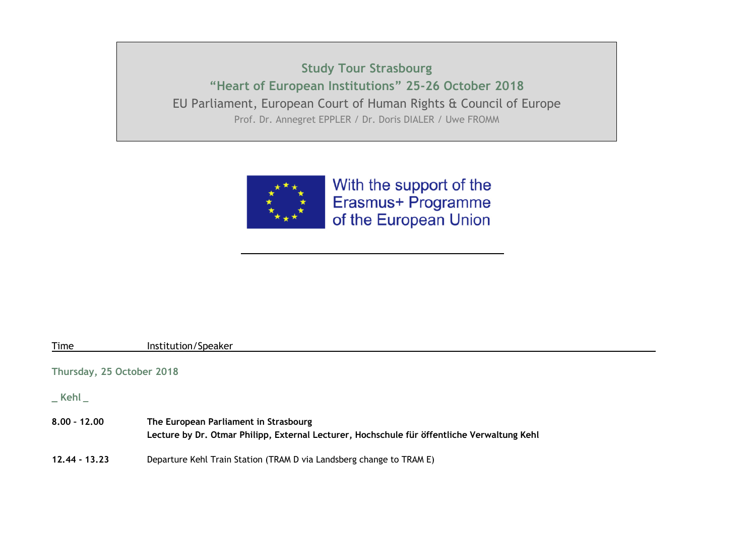**Study Tour Strasbourg "Heart of European Institutions" 25-26 October 2018** EU Parliament, European Court of Human Rights & Council of Europe Prof. Dr. Annegret EPPLER / Dr. Doris DIALER / Uwe FROMM



With the support of the Erasmus+ Programme of the European Union

| Institution/Speaker                                                                         |
|---------------------------------------------------------------------------------------------|
| Thursday, 25 October 2018                                                                   |
|                                                                                             |
| The European Parliament in Strasbourg                                                       |
| Lecture by Dr. Otmar Philipp, External Lecturer, Hochschule für öffentliche Verwaltung Kehl |
| Departure Kehl Train Station (TRAM D via Landsberg change to TRAM E)                        |
|                                                                                             |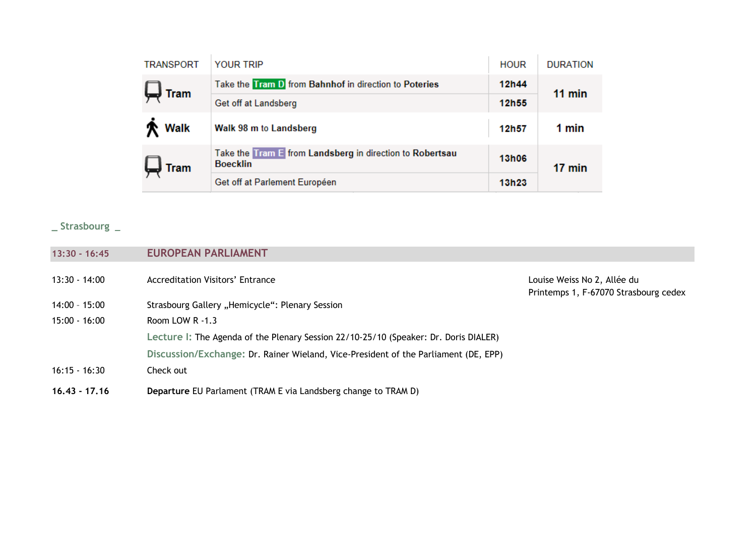| <b>TRANSPORT</b><br><b>YOUR TRIP</b>                                                       | <b>HOUR</b>  | <b>DURATION</b> |  |
|--------------------------------------------------------------------------------------------|--------------|-----------------|--|
| Take the Tram D from Bahnhof in direction to Poteries<br><b>Tram</b>                       | 12h44        | $11$ min        |  |
| Get off at Landsberg                                                                       | 12h55        |                 |  |
| <b>Walk</b><br>Walk 98 m to Landsberg                                                      | 12h57        | 1 min           |  |
| Take the Tram E from Landsberg in direction to Robertsau<br><b>Boecklin</b><br><b>Tram</b> | <b>13h06</b> | 17 min          |  |
| Get off at Parlement Européen                                                              | 13h23        |                 |  |

**\_ Strasbourg \_**

| $16.43 - 17.16$ | Departure EU Parlament (TRAM E via Landsberg change to TRAM D)                       |                                                                      |
|-----------------|--------------------------------------------------------------------------------------|----------------------------------------------------------------------|
| $16:15 - 16:30$ | Check out                                                                            |                                                                      |
|                 | Discussion/Exchange: Dr. Rainer Wieland, Vice-President of the Parliament (DE, EPP)  |                                                                      |
|                 | Lecture I: The Agenda of the Plenary Session 22/10-25/10 (Speaker: Dr. Doris DIALER) |                                                                      |
| $15:00 - 16:00$ | Room LOW $R - 1.3$                                                                   |                                                                      |
| 14:00 - 15:00   | Strasbourg Gallery "Hemicycle": Plenary Session                                      |                                                                      |
| $13:30 - 14:00$ | Accreditation Visitors' Entrance                                                     | Louise Weiss No 2, Allée du<br>Printemps 1, F-67070 Strasbourg cedex |
| $13:30 - 16:45$ | <b>EUROPEAN PARLIAMENT</b>                                                           |                                                                      |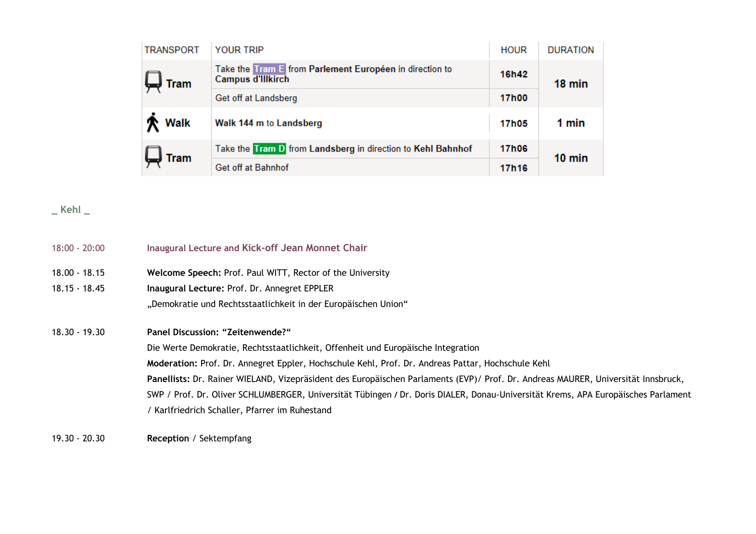| <b>TRANSPORT</b> | <b>YOUR TRIP</b>                                                             | <b>HOUR</b>  | <b>DURATION</b> |
|------------------|------------------------------------------------------------------------------|--------------|-----------------|
| $\Box$ Tram      | Take the Tram E from Parlement Européen in direction to<br>Campus d'Illkirch | 16h42        | 18 min          |
|                  | Get off at Landsberg                                                         | 17h00        |                 |
| <b>个 Walk</b>    | Walk 144 m to Landsberg                                                      | 17h05        | 1 min           |
| $\Box$ Tram      | Take the Tram D from Landsberg in direction to Kehl Bahnhof                  | <b>17h06</b> | $10$ min        |
|                  | Get off at Bahnhof                                                           | 17h16        |                 |

**\_ Kehl \_**

| $18:00 - 20:00$ | Inaugural Lecture and Kick-off Jean Monnet Chair                                                                                  |
|-----------------|-----------------------------------------------------------------------------------------------------------------------------------|
| 18.00 - 18.15   | Welcome Speech: Prof. Paul WITT, Rector of the University                                                                         |
| 18.15 - 18.45   | Inaugural Lecture: Prof. Dr. Annegret EPPLER                                                                                      |
|                 | "Demokratie und Rechtsstaatlichkeit in der Europäischen Union"                                                                    |
| 18.30 - 19.30   | <b>Panel Discussion: "Zeitenwende?"</b>                                                                                           |
|                 | Die Werte Demokratie, Rechtsstaatlichkeit, Offenheit und Europäische Integration                                                  |
|                 | Moderation: Prof. Dr. Annegret Eppler, Hochschule Kehl, Prof. Dr. Andreas Pattar, Hochschule Kehl                                 |
|                 | Panellists: Dr. Rainer WIELAND, Vizepräsident des Europäischen Parlaments (EVP)/ Prof. Dr. Andreas MAURER, Universität Innsbruck, |
|                 | SWP / Prof. Dr. Oliver SCHLUMBERGER, Universität Tübingen / Dr. Doris DIALER, Donau-Universität Krems, APA Europäisches Parlament |
|                 | / Karlfriedrich Schaller, Pfarrer im Ruhestand                                                                                    |

19.30 - 20.30 **Reception** / Sektempfang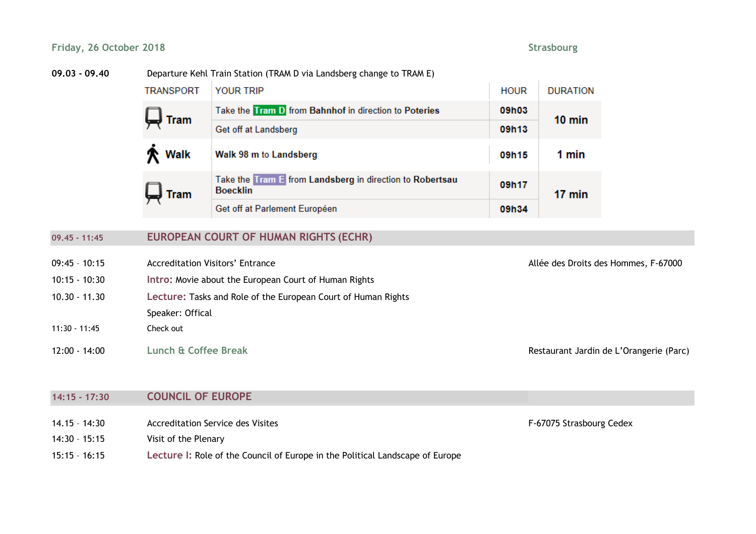### **Friday, 26 October 2018 Strasbourg**

#### **09.03 - 09.40** Departure Kehl Train Station (TRAM D via Landsberg change to TRAM E)

| <b>TRANSPORT</b>             | <b>YOUR TRIP</b>                                                            | <b>HOUR</b> | <b>DURATION</b>  |
|------------------------------|-----------------------------------------------------------------------------|-------------|------------------|
| $\bigcup$ Tram               | Take the Tram D from Bahnhof in direction to Poteries                       | 09h03       | $10 \text{ min}$ |
|                              | Get off at Landsberg                                                        | 09h13       |                  |
| <b>个 Walk</b>                | Walk 98 m to Landsberg                                                      | 09h15       | 1 min            |
| $\overline{\mathbf{r}}$ Tram | Take the Tram E from Landsberg in direction to Robertsau<br><b>Boecklin</b> | 09h17       | 17 min           |
|                              | Get off at Parlement Européen                                               | 09h34       |                  |

# **09.45 - 11:45 EUROPEAN COURT OF HUMAN RIGHTS (ECHR)**

- 09:45 10:15 Accreditation Visitors' Entrance **Allée des Droits des Hommes, F-67000**
- 10:15 10:30 **Intro:** Movie about the European Court of Human Rights
- 10.30 11.30 **Lecture:** Tasks and Role of the European Court of Human Rights
- Speaker: Offical
- 11:30 11:45 Check out

12:00 - 14:00 **Lunch & Coffee Break** Restaurant Jardin de L'Orangerie (Parc)

## **14:15 - 17:30 COUNCIL OF EUROPE**

- 14.15 14:30 Accreditation Service des Visites F-67075 Strasbourg Cedex
- 14:30 15:15 Visit of the Plenary
- 15:15 16:15 **Lecture I:** Role of the Council of Europe in the Political Landscape of Europe